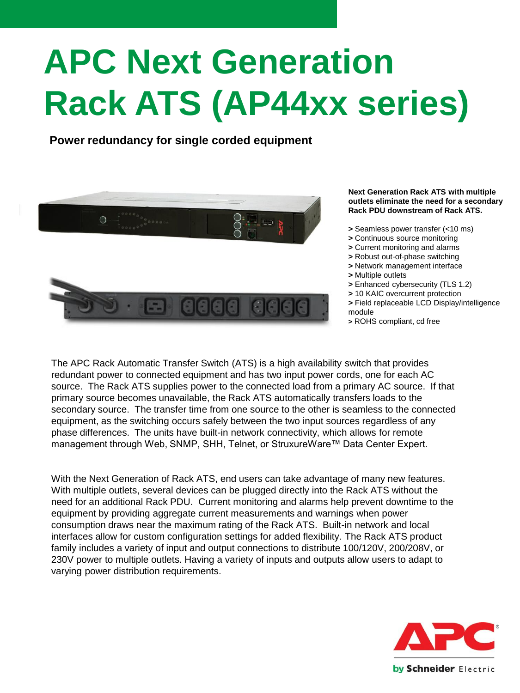# **APC Next Generation Rack ATS (AP44xx series)**

**Power redundancy for single corded equipment**



#### **Next Generation Rack ATS with multiple outlets eliminate the need for a secondary Rack PDU downstream of Rack ATS.**

- **>** Seamless power transfer (<10 ms)
- **>** Continuous source monitoring
- **>** Current monitoring and alarms
- **>** Robust out-of-phase switching
- **>** Network management interface
- **>** Multiple outlets
- **>** Enhanced cybersecurity (TLS 1.2)
- **>** 10 KAIC overcurrent protection
- **>** Field replaceable LCD Display/intelligence module
- **>** ROHS compliant, cd free

The APC Rack Automatic Transfer Switch (ATS) is a high availability switch that provides redundant power to connected equipment and has two input power cords, one for each AC source. The Rack ATS supplies power to the connected load from a primary AC source. If that primary source becomes unavailable, the Rack ATS automatically transfers loads to the secondary source. The transfer time from one source to the other is seamless to the connected equipment, as the switching occurs safely between the two input sources regardless of any phase differences. The units have built-in network connectivity, which allows for remote management through Web, SNMP, SHH, Telnet, or StruxureWare™ Data Center Expert.

With the Next Generation of Rack ATS, end users can take advantage of many new features. With multiple outlets, several devices can be plugged directly into the Rack ATS without the need for an additional Rack PDU. Current monitoring and alarms help prevent downtime to the equipment by providing aggregate current measurements and warnings when power consumption draws near the maximum rating of the Rack ATS. Built-in network and local interfaces allow for custom configuration settings for added flexibility. The Rack ATS product family includes a variety of input and output connections to distribute 100/120V, 200/208V, or 230V power to multiple outlets. Having a variety of inputs and outputs allow users to adapt to varying power distribution requirements.

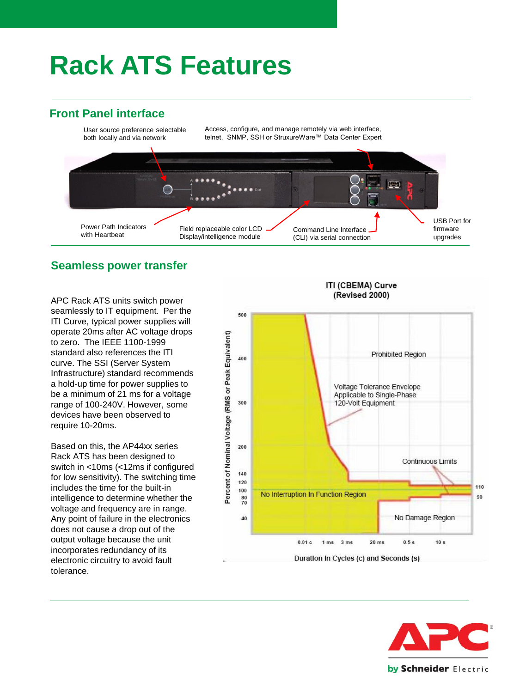## **Rack ATS Features**

### **Front Panel interface**



#### **Seamless power transfer**

APC Rack ATS units switch power seamlessly to IT equipment. Per the ITI Curve, typical power supplies will operate 20ms after AC voltage drops to zero. The IEEE 1100-1999 standard also references the ITI curve. The SSI (Server System Infrastructure) standard recommends a hold-up time for power supplies to be a minimum of 21 ms for a voltage range of 100-240V. However, some devices have been observed to require 10-20ms.

Based on this, the AP44xx series Rack ATS has been designed to switch in <10ms (<12ms if configured for low sensitivity). The switching time includes the time for the built-in intelligence to determine whether the voltage and frequency are in range. Any point of failure in the electronics does not cause a drop out of the output voltage because the unit incorporates redundancy of its electronic circuitry to avoid fault tolerance.



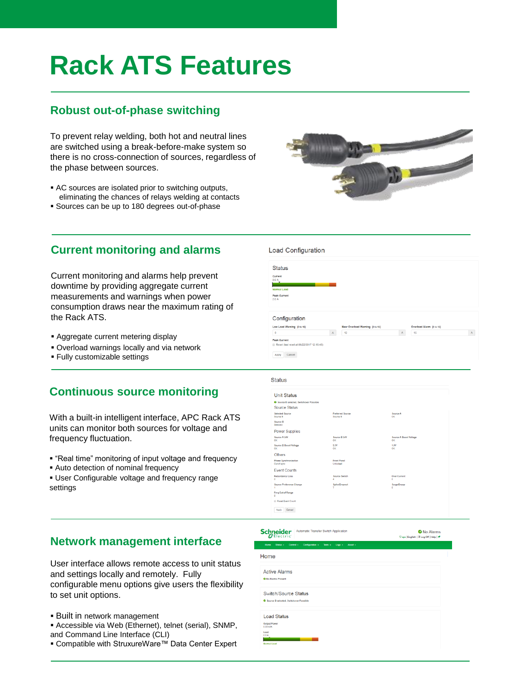# **Rack ATS Features**

### **Robust out-of-phase switching**

To prevent relay welding, both hot and neutral lines are switched using a break-before-make system so there is no cross-connection of sources, regardless of the phase between sources.

- AC sources are isolated prior to switching outputs, eliminating the chances of relays welding at contacts
- Sources can be up to 180 degrees out-of-phase



#### **Current monitoring and alarms**

Current monitoring and alarms help prevent downtime by providing aggregate current measurements and warnings when power consumption draws near the maximum rating of the Rack ATS.

- **E** Aggregate current metering display
- Overload warnings locally and via network
- Fully customizable settings

### **Continuous source monitoring**

With a built-in intelligent interface, APC Rack ATS units can monitor both sources for voltage and frequency fluctuation.

- "Real time" monitoring of input voltage and frequency
- **EXECT** Auto detection of nominal frequency
- **.** User Configurable voltage and frequency range settings

#### Status

Load Configuration

Status

Peak Current

Configuration Low Load Warning (0 to 16)

Apply Cancel

 $\Delta$ 

| <b>Unit Status</b>                          |                                     |                                     |  |
|---------------------------------------------|-------------------------------------|-------------------------------------|--|
| C Source R selected Switchnuer Possible     |                                     |                                     |  |
| Source Status                               |                                     |                                     |  |
| Selected Source<br>Source B                 | <b>Proferred Source</b><br>Source B | Source &<br>OK                      |  |
| Source R<br>Selected                        |                                     |                                     |  |
| <b>Power Supplies</b>                       |                                     |                                     |  |
| Source A 24V<br><b>OK</b>                   | Source B 24V<br>OK                  | <b>Source A Boost Voltage</b><br>OK |  |
| Source B Boost Voltage<br>oк                | 3.3W<br>OK                          | 1.0V<br><b>OK</b>                   |  |
| <b>Others</b>                               |                                     |                                     |  |
| <b>Phase Synchronization</b><br>Out of sync | <b>Front Panel</b><br>Unionized     |                                     |  |
| <b>Event Counts</b>                         |                                     |                                     |  |
| <b>Redundancy Loss</b><br>٠                 | Source Switch<br>x                  | <b>Over Current</b><br>٥            |  |
| Source Preference Change<br>٠               | Spike/Dropout<br>٠                  | <b>Surge/Oroop</b><br>٠             |  |
| Freq Out of Range<br>$\circ$                |                                     |                                     |  |
| <b>El Reset Event Count</b>                 |                                     |                                     |  |
| Apply Cancel                                |                                     |                                     |  |

#### **Network management interface**

User interface allows remote access to unit status and settings locally and remotely. Fully configurable menu options give users the flexibility to set unit options.

- **Built in network management**
- **E** Accessible via Web (Ethernet), telnet (serial), SNMP, and Command Line Interface (CLI)
- Compatible with StruxureWare™ Data Center Expert

#### Schneider Auto

<sup>O</sup> No Alarms

| Home                                                                                 |  |
|--------------------------------------------------------------------------------------|--|
| <b>Active Alarms</b><br><b>O</b> No Alarms Present                                   |  |
| Switch/Source Status<br>G Source B selected, Switchover Possible                     |  |
| <b>Load Status</b><br><b>Output Power</b><br>0.00 kMA<br>Load<br>A0.0<br>Normal Load |  |